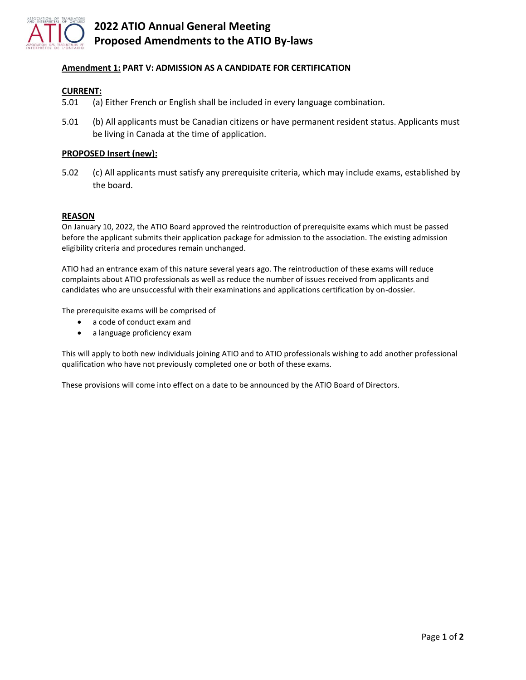

# **2022 ATIO Annual General Meeting Proposed Amendments to the ATIO By-laws**

# **Amendment 1: PART V: ADMISSION AS A CANDIDATE FOR CERTIFICATION**

## **CURRENT:**

- 5.01 (a) Either French or English shall be included in every language combination.
- 5.01 (b) All applicants must be Canadian citizens or have permanent resident status. Applicants must be living in Canada at the time of application.

## **PROPOSED Insert (new):**

5.02 (c) All applicants must satisfy any prerequisite criteria, which may include exams, established by the board.

### **REASON**

On January 10, 2022, the ATIO Board approved the reintroduction of prerequisite exams which must be passed before the applicant submits their application package for admission to the association. The existing admission eligibility criteria and procedures remain unchanged.

ATIO had an entrance exam of this nature several years ago. The reintroduction of these exams will reduce complaints about ATIO professionals as well as reduce the number of issues received from applicants and candidates who are unsuccessful with their examinations and applications certification by on-dossier.

The prerequisite exams will be comprised of

- a code of conduct exam and
- a language proficiency exam

This will apply to both new individuals joining ATIO and to ATIO professionals wishing to add another professional qualification who have not previously completed one or both of these exams.

These provisions will come into effect on a date to be announced by the ATIO Board of Directors.